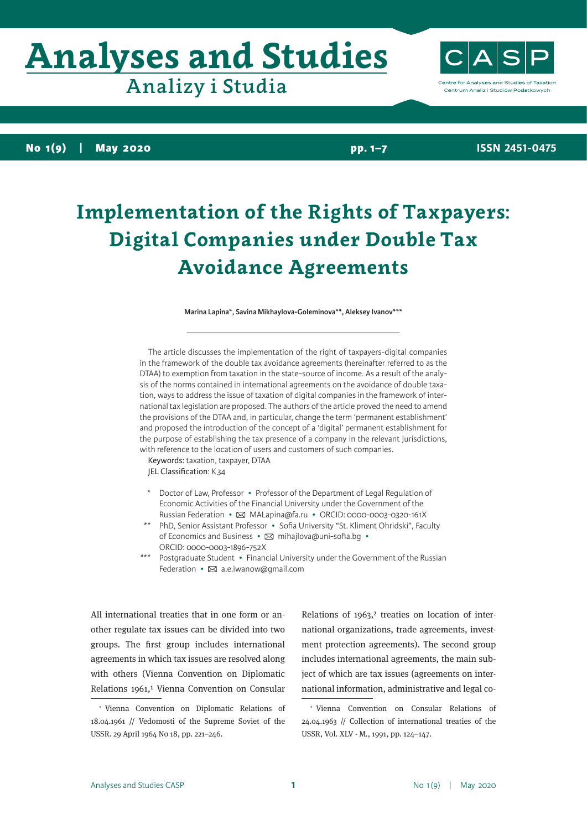# **Analyses and Studies**

Analizy i Studia

ntre for Analyses and Studies of Taxation Centrum Analiz i Studiów Podatkowych

**No 1(9) | May 2020**

**pp. 1–7**

**ISSN 2451-0475**

## **Implementation of the Rights of Taxpayers: Digital Companies under Double Tax Avoidance Agreements**

#### **Marina Lapina\*, Savina Mikhaylova-Goleminova\*\*, Aleksey Ivanov\*\*\***

The article discusses the implementation of the right of taxpayers-digital companies in the framework of the double tax avoidance agreements (hereinafter referred to as the DTAA) to exemption from taxation in the state-source of income. As a result of the analysis of the norms contained in international agreements on the avoidance of double taxation, ways to address the issue of taxation of digital companies in the framework of international tax legislation are proposed. The authors of the article proved the need to amend the provisions of the DTAA and, in particular, change the term 'permanent establishment' and proposed the introduction of the concept of a 'digital' permanent establishment for the purpose of establishing the tax presence of a company in the relevant jurisdictions, with reference to the location of users and customers of such companies.

Keywords: taxation, taxpayer, DTAA JEL Classification: K34

- Doctor of Law, Professor Professor of the Department of Legal Regulation of Economic Activities of the Financial University under the Government of the Russian Federation •  $\boxtimes$  MALapina@fa.ru • ORCID: 0000-0003-0320-161X
- \*\* PhD, Senior Assistant Professor Sofia University "St. Kliment Ohridski", Faculty of Economics and Business •  $\boxtimes$  mihajlova@uni-sofia.bq • ORCID: 0000-0003-1896-752X
- \*\*\* Postgraduate Student Financial University under the Government of the Russian Federation  $\cdot \boxtimes$  a.e.iwanow@gmail.com

All international treaties that in one form or another regulate tax issues can be divided into two groups. The first group includes international agreements in which tax issues are resolved along with others (Vienna Convention on Diplomatic Relations 1961,<sup>1</sup> Vienna Convention on Consular

Relations of  $1963$ ,<sup>2</sup> treaties on location of international organizations, trade agreements, investment protection agreements). The second group includes international agreements, the main subject of which are tax issues (agreements on international information, administrative and legal co-

<sup>1</sup> Vienna Convention on Diplomatic Relations of 18.04.1961 // Vedomosti of the Supreme Soviet of the USSR. 29 April 1964 No 18, pp. 221–246.

<sup>2</sup> Vienna Convention on Consular Relations of 24.04.1963 // Collection of international treaties of the USSR, Vol. XLV - M., 1991, pp. 124–147.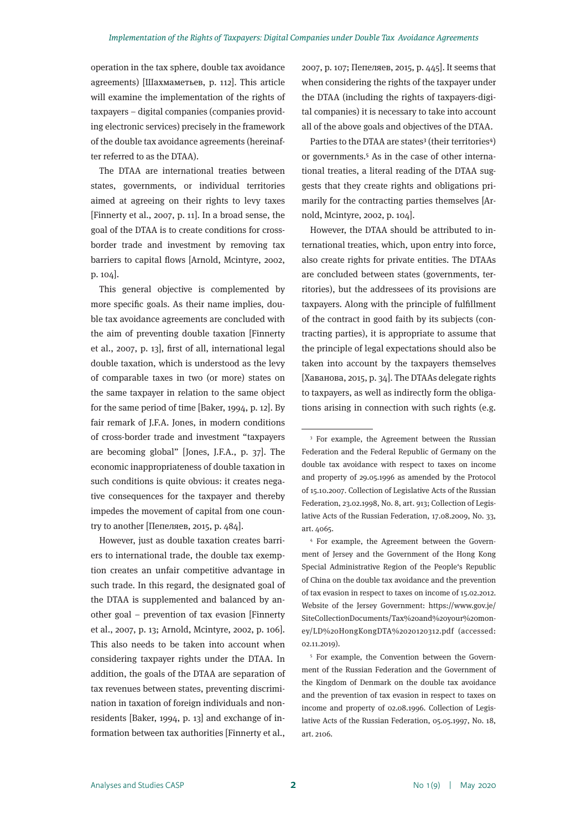operation in the tax sphere, double tax avoidance agreements) [Шахмаметьев, p. 112]. This article will examine the implementation of the rights of taxpayers – digital companies (companies providing electronic services) precisely in the framework of the double tax avoidance agreements (hereinafter referred to as the DTAA).

The DTAA are international treaties between states, governments, or individual territories aimed at agreeing on their rights to levy taxes [Finnerty et al., 2007, p. 11]. In a broad sense, the goal of the DTAA is to create conditions for crossborder trade and investment by removing tax barriers to capital flows [Arnold, Mcintyre, 2002, p. 104].

This general objective is complemented by more specific goals. As their name implies, double tax avoidance agreements are concluded with the aim of preventing double taxation [Finnerty et al., 2007, p. 13], first of all, international legal double taxation, which is understood as the levy of comparable taxes in two (or more) states on the same taxpayer in relation to the same object for the same period of time [Baker, 1994, p. 12]. By fair remark of J.F.A. Jones, in modern conditions of cross-border trade and investment "taxpayers are becoming global" [Jones, J.F.A., p. 37]. The economic inappropriateness of double taxation in such conditions is quite obvious: it creates negative consequences for the taxpayer and thereby impedes the movement of capital from one country to another [Пепеляев, 2015, p. 484].

However, just as double taxation creates barriers to international trade, the double tax exemption creates an unfair competitive advantage in such trade. In this regard, the designated goal of the DTAA is supplemented and balanced by another goal – prevention of tax evasion [Finnerty et al., 2007, p. 13; Arnold, Mcintyre, 2002, p. 106]. This also needs to be taken into account when considering taxpayer rights under the DTAA. In addition, the goals of the DTAA are separation of tax revenues between states, preventing discrimination in taxation of foreign individuals and nonresidents [Baker, 1994, p. 13] and exchange of information between tax authorities [Finnerty et al.,

2007, p. 107; Пепеляев, 2015, p. 445]. It seems that when considering the rights of the taxpayer under the DTAA (including the rights of taxpayers-digital companies) it is necessary to take into account all of the above goals and objectives of the DTAA.

Parties to the DTAA are states<sup>3</sup> (their territories<sup>4</sup>) or governments.<sup>5</sup> As in the case of other international treaties, a literal reading of the DTAA suggests that they create rights and obligations primarily for the contracting parties themselves [Arnold, Mcintyre, 2002, p. 104].

However, the DTAA should be attributed to international treaties, which, upon entry into force, also create rights for private entities. The DTAAs are concluded between states (governments, territories), but the addressees of its provisions are taxpayers. Along with the principle of fulfillment of the contract in good faith by its subjects (contracting parties), it is appropriate to assume that the principle of legal expectations should also be taken into account by the taxpayers themselves [Хаванова, 2015, p. 34]. The DTAAs delegate rights to taxpayers, as well as indirectly form the obligations arising in connection with such rights (e.g.

<sup>4</sup> For example, the Agreement between the Government of Jersey and the Government of the Hong Kong Special Administrative Region of the People's Republic of China on the double tax avoidance and the prevention of tax evasion in respect to taxes on income of 15.02.2012. Website of the Jersey Government: https://www.gov.je/ SiteCollectionDocuments/Tax%20and%20your%20money/LD%20HongKongDTA%2020120312.pdf (accessed: 02.11.2019).

<sup>5</sup> For example, the Convention between the Government of the Russian Federation and the Government of the Kingdom of Denmark on the double tax avoidance and the prevention of tax evasion in respect to taxes on income and property of 02.08.1996. Collection of Legislative Acts of the Russian Federation, 05.05.1997, No. 18, art. 2106.

<sup>&</sup>lt;sup>3</sup> For example, the Agreement between the Russian Federation and the Federal Republic of Germany on the double tax avoidance with respect to taxes on income and property of 29.05.1996 as amended by the Protocol of 15.10.2007. Collection of Legislative Acts of the Russian Federation, 23.02.1998, No. 8, art. 913; Collection of Legislative Acts of the Russian Federation, 17.08.2009, No. 33, art. 4065.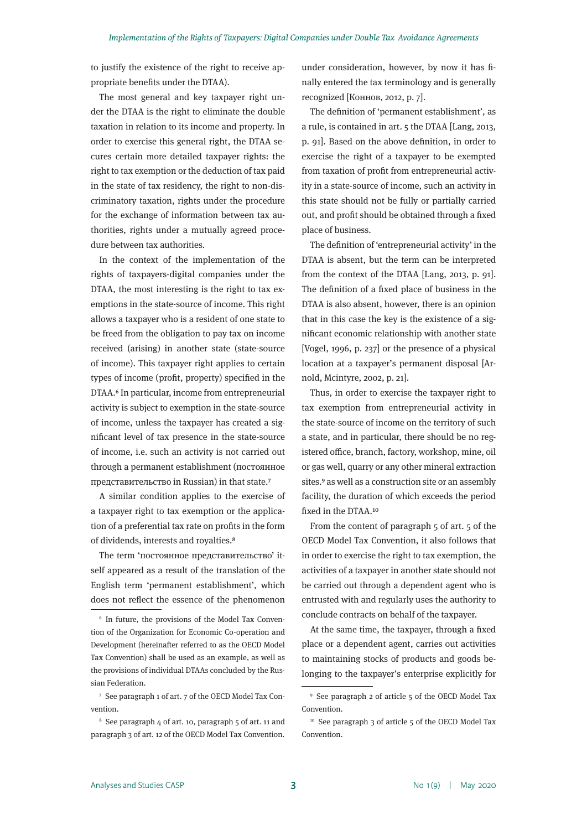to justify the existence of the right to receive appropriate benefits under the DTAA).

The most general and key taxpayer right under the DTAA is the right to eliminate the double taxation in relation to its income and property. In order to exercise this general right, the DTAA secures certain more detailed taxpayer rights: the right to tax exemption or the deduction of tax paid in the state of tax residency, the right to non-discriminatory taxation, rights under the procedure for the exchange of information between tax authorities, rights under a mutually agreed procedure between tax authorities.

In the context of the implementation of the rights of taxpayers-digital companies under the DTAA, the most interesting is the right to tax exemptions in the state-source of income. This right allows a taxpayer who is a resident of one state to be freed from the obligation to pay tax on income received (arising) in another state (state-source of income). This taxpayer right applies to certain types of income (profit, property) specified in the DTAA.6 In particular, income from entrepreneurial activity is subject to exemption in the state-source of income, unless the taxpayer has created a significant level of tax presence in the state-source of income, i.e. such an activity is not carried out through a permanent establishment (постоянное представительство in Russian) in that state.7

A similar condition applies to the exercise of a taxpayer right to tax exemption or the application of a preferential tax rate on profits in the form of dividends, interests and royalties.8

The term 'постоянное представительство' itself appeared as a result of the translation of the English term 'permanent establishment', which does not reflect the essence of the phenomenon

<sup>7</sup> See paragraph 1 of art. 7 of the OECD Model Tax Convention.

under consideration, however, by now it has finally entered the tax terminology and is generally recognized [Коннов, 2012, p. 7].

The definition of 'permanent establishment', as a rule, is contained in art. 5 the DTAA [Lang, 2013, p. 91]. Based on the above definition, in order to exercise the right of a taxpayer to be exempted from taxation of profit from entrepreneurial activity in a state-source of income, such an activity in this state should not be fully or partially carried out, and profit should be obtained through a fixed place of business.

The definition of 'entrepreneurial activity' in the DTAA is absent, but the term can be interpreted from the context of the DTAA [Lang, 2013, p. 91]. The definition of a fixed place of business in the DTAA is also absent, however, there is an opinion that in this case the key is the existence of a significant economic relationship with another state [Vogel, 1996, p. 237] or the presence of a physical location at a taxpayer's permanent disposal [Arnold, Mcintyre, 2002, p. 21].

Thus, in order to exercise the taxpayer right to tax exemption from entrepreneurial activity in the state-source of income on the territory of such a state, and in particular, there should be no registered office, branch, factory, workshop, mine, oil or gas well, quarry or any other mineral extraction sites.9 as well as a construction site or an assembly facility, the duration of which exceeds the period fixed in the DTAA.10

From the content of paragraph 5 of art. 5 of the OECD Model Tax Convention, it also follows that in order to exercise the right to tax exemption, the activities of a taxpayer in another state should not be carried out through a dependent agent who is entrusted with and regularly uses the authority to conclude contracts on behalf of the taxpayer.

At the same time, the taxpayer, through a fixed place or a dependent agent, carries out activities to maintaining stocks of products and goods belonging to the taxpayer's enterprise explicitly for

<sup>6</sup> In future, the provisions of the Model Tax Convention of the Organization for Economic Co-operation and Development (hereinafter referred to as the OECD Model Tax Convention) shall be used as an example, as well as the provisions of individual DTAAs concluded by the Russian Federation.

<sup>8</sup> See paragraph 4 of art. 10, paragraph 5 of art. 11 and paragraph 3 of art. 12 of the OECD Model Tax Convention.

<sup>9</sup> See paragraph 2 of article 5 of the OECD Model Tax Convention.

<sup>&</sup>lt;sup>10</sup> See paragraph 3 of article 5 of the OECD Model Tax Convention.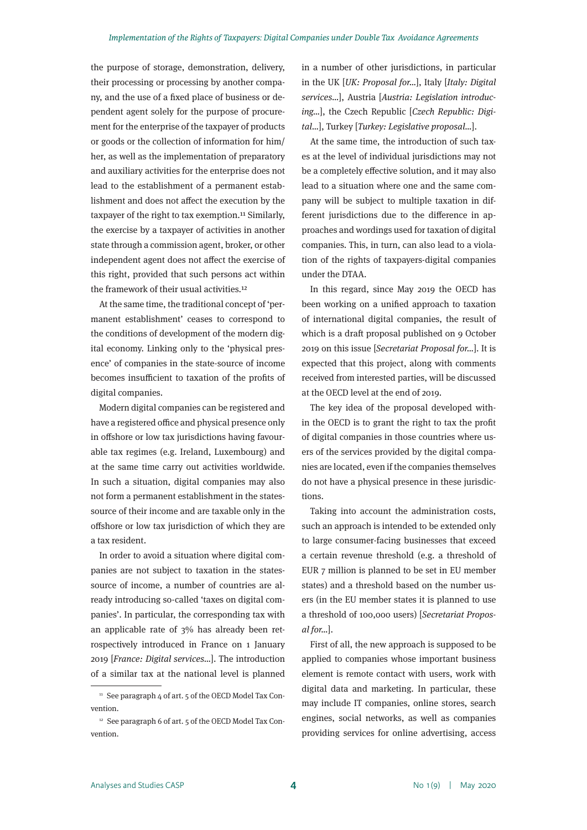the purpose of storage, demonstration, delivery, their processing or processing by another company, and the use of a fixed place of business or dependent agent solely for the purpose of procurement for the enterprise of the taxpayer of products or goods or the collection of information for him/ her, as well as the implementation of preparatory and auxiliary activities for the enterprise does not lead to the establishment of a permanent establishment and does not affect the execution by the taxpayer of the right to tax exemption.11 Similarly, the exercise by a taxpayer of activities in another state through a commission agent, broker, or other independent agent does not affect the exercise of this right, provided that such persons act within the framework of their usual activities.12

At the same time, the traditional concept of 'permanent establishment' ceases to correspond to the conditions of development of the modern digital economy. Linking only to the 'physical presence' of companies in the state-source of income becomes insufficient to taxation of the profits of digital companies.

Modern digital companies can be registered and have a registered office and physical presence only in offshore or low tax jurisdictions having favourable tax regimes (e.g. Ireland, Luxembourg) and at the same time carry out activities worldwide. In such a situation, digital companies may also not form a permanent establishment in the statessource of their income and are taxable only in the offshore or low tax jurisdiction of which they are a tax resident.

In order to avoid a situation where digital companies are not subject to taxation in the statessource of income, a number of countries are already introducing so-called 'taxes on digital companies'. In particular, the corresponding tax with an applicable rate of 3% has already been retrospectively introduced in France on 1 January 2019 [*France: Digital services…*]. The introduction of a similar tax at the national level is planned

in a number of other jurisdictions, in particular in the UK [*UK: Proposal for…*], Italy [*Italy: Digital services…*], Austria [*Austria: Legislation introducing…*], the Czech Republic [*Czech Republic: Digital…*], Turkey [*Turkey: Legislative proposal…*].

At the same time, the introduction of such taxes at the level of individual jurisdictions may not be a completely effective solution, and it may also lead to a situation where one and the same company will be subject to multiple taxation in different jurisdictions due to the difference in approaches and wordings used for taxation of digital companies. This, in turn, can also lead to a violation of the rights of taxpayers-digital companies under the DTAA.

In this regard, since May 2019 the OECD has been working on a unified approach to taxation of international digital companies, the result of which is a draft proposal published on 9 October 2019 on this issue [*Secretariat Proposal for…*]. It is expected that this project, along with comments received from interested parties, will be discussed at the OECD level at the end of 2019.

The key idea of the proposal developed within the OECD is to grant the right to tax the profit of digital companies in those countries where users of the services provided by the digital companies are located, even if the companies themselves do not have a physical presence in these jurisdictions.

Taking into account the administration costs, such an approach is intended to be extended only to large consumer-facing businesses that exceed a certain revenue threshold (e.g. a threshold of EUR 7 million is planned to be set in EU member states) and a threshold based on the number users (in the EU member states it is planned to use a threshold of 100,000 users) [*Secretariat Proposal for…*].

First of all, the new approach is supposed to be applied to companies whose important business element is remote contact with users, work with digital data and marketing. In particular, these may include IT companies, online stores, search engines, social networks, as well as companies providing services for online advertising, access

<sup>&</sup>lt;sup>11</sup> See paragraph 4 of art. 5 of the OECD Model Tax Convention.

<sup>&</sup>lt;sup>12</sup> See paragraph 6 of art. 5 of the OECD Model Tax Convention.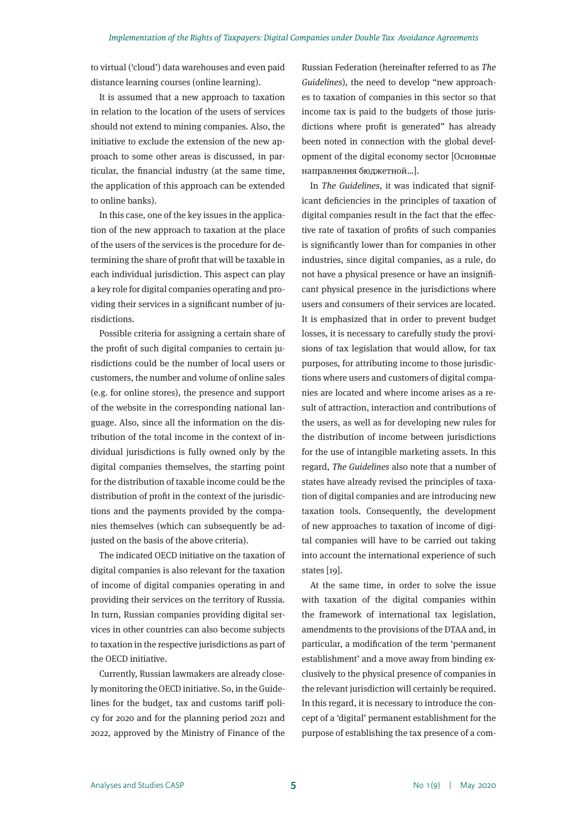to virtual ('cloud') data warehouses and even paid distance learning courses (online learning).

It is assumed that a new approach to taxation in relation to the location of the users of services should not extend to mining companies. Also, the initiative to exclude the extension of the new approach to some other areas is discussed, in particular, the financial industry (at the same time, the application of this approach can be extended to online banks).

In this case, one of the key issues in the application of the new approach to taxation at the place of the users of the services is the procedure for determining the share of profit that will be taxable in each individual jurisdiction. This aspect can play a key role for digital companies operating and providing their services in a significant number of jurisdictions.

Possible criteria for assigning a certain share of the profit of such digital companies to certain jurisdictions could be the number of local users or customers, the number and volume of online sales (e.g. for online stores), the presence and support of the website in the corresponding national language. Also, since all the information on the distribution of the total income in the context of individual jurisdictions is fully owned only by the digital companies themselves, the starting point for the distribution of taxable income could be the distribution of profit in the context of the jurisdictions and the payments provided by the companies themselves (which can subsequently be adjusted on the basis of the above criteria).

The indicated OECD initiative on the taxation of digital companies is also relevant for the taxation of income of digital companies operating in and providing their services on the territory of Russia. In turn, Russian companies providing digital services in other countries can also become subjects to taxation in the respective jurisdictions as part of the OECD initiative.

Currently, Russian lawmakers are already closely monitoring the OECD initiative. So, in the Guidelines for the budget, tax and customs tariff policy for 2020 and for the planning period 2021 and 2022, approved by the Ministry of Finance of the

Russian Federation (hereinafter referred to as *The Guidelines*), the need to develop "new approaches to taxation of companies in this sector so that income tax is paid to the budgets of those jurisdictions where profit is generated" has already been noted in connection with the global development of the digital economy sector [Основные направления бюджетной…].

In *The Guidelines*, it was indicated that significant deficiencies in the principles of taxation of digital companies result in the fact that the effective rate of taxation of profits of such companies is significantly lower than for companies in other industries, since digital companies, as a rule, do not have a physical presence or have an insignificant physical presence in the jurisdictions where users and consumers of their services are located. It is emphasized that in order to prevent budget losses, it is necessary to carefully study the provisions of tax legislation that would allow, for tax purposes, for attributing income to those jurisdictions where users and customers of digital companies are located and where income arises as a result of attraction, interaction and contributions of the users, as well as for developing new rules for the distribution of income between jurisdictions for the use of intangible marketing assets. In this regard, *The Guidelines* also note that a number of states have already revised the principles of taxation of digital companies and are introducing new taxation tools. Consequently, the development of new approaches to taxation of income of digital companies will have to be carried out taking into account the international experience of such states [19].

At the same time, in order to solve the issue with taxation of the digital companies within the framework of international tax legislation, amendments to the provisions of the DTAA and, in particular, a modification of the term 'permanent establishment' and a move away from binding exclusively to the physical presence of companies in the relevant jurisdiction will certainly be required. In this regard, it is necessary to introduce the concept of a 'digital' permanent establishment for the purpose of establishing the tax presence of a com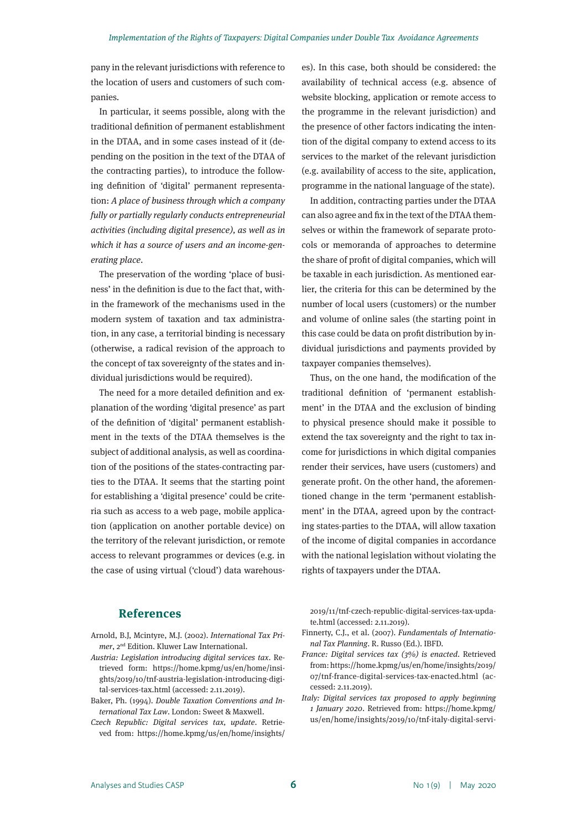pany in the relevant jurisdictions with reference to the location of users and customers of such companies.

In particular, it seems possible, along with the traditional definition of permanent establishment in the DTAA, and in some cases instead of it (depending on the position in the text of the DTAA of the contracting parties), to introduce the following definition of 'digital' permanent representation: *A place of business through which a company fully or partially regularly conducts entrepreneurial activities (including digital presence), as well as in which it has a source of users and an income-generating place*.

The preservation of the wording 'place of business' in the definition is due to the fact that, within the framework of the mechanisms used in the modern system of taxation and tax administration, in any case, a territorial binding is necessary (otherwise, a radical revision of the approach to the concept of tax sovereignty of the states and individual jurisdictions would be required).

The need for a more detailed definition and explanation of the wording 'digital presence' as part of the definition of 'digital' permanent establishment in the texts of the DTAA themselves is the subject of additional analysis, as well as coordination of the positions of the states-contracting parties to the DTAA. It seems that the starting point for establishing a 'digital presence' could be criteria such as access to a web page, mobile application (application on another portable device) on the territory of the relevant jurisdiction, or remote access to relevant programmes or devices (e.g. in the case of using virtual ('cloud') data warehouses). In this case, both should be considered: the availability of technical access (e.g. absence of website blocking, application or remote access to the programme in the relevant jurisdiction) and the presence of other factors indicating the intention of the digital company to extend access to its services to the market of the relevant jurisdiction (e.g. availability of access to the site, application, programme in the national language of the state).

In addition, contracting parties under the DTAA can also agree and fix in the text of the DTAA themselves or within the framework of separate protocols or memoranda of approaches to determine the share of profit of digital companies, which will be taxable in each jurisdiction. As mentioned earlier, the criteria for this can be determined by the number of local users (customers) or the number and volume of online sales (the starting point in this case could be data on profit distribution by individual jurisdictions and payments provided by taxpayer companies themselves).

Thus, on the one hand, the modification of the traditional definition of 'permanent establishment' in the DTAA and the exclusion of binding to physical presence should make it possible to extend the tax sovereignty and the right to tax income for jurisdictions in which digital companies render their services, have users (customers) and generate profit. On the other hand, the aforementioned change in the term 'permanent establishment' in the DTAA, agreed upon by the contracting states-parties to the DTAA, will allow taxation of the income of digital companies in accordance with the national legislation without violating the rights of taxpayers under the DTAA.

### **References**

- Arnold, B.J, Mcintyre, M.J. (2002). *International Tax Primer*, 2nd Edition. Kluwer Law International.
- *Austria: Legislation introducing digital services tax*. Retrieved form: https://home.kpmg/us/en/home/insights/2019/10/tnf-austria-legislation-introducing-digital-services-tax.html (accessed: 2.11.2019).
- Baker, Ph. (1994). *Double Taxation Conventions and International Tax Law*. London: Sweet & Maxwell.
- *Czech Republic: Digital services tax, update*. Retrieved from: https://home.kpmg/us/en/home/insights/

2019/11/tnf-czech-republic-digital-services-tax-update.html (accessed: 2.11.2019).

- Finnerty, C.J., et al. (2007). *Fundamentals of International Tax Planning*. R. Russo (Ed.). IBFD.
- *France: Digital services tax (3%) is enacted*. Retrieved from: https://home.kpmg/us/en/home/insights/2019/ 07/tnf-france-digital-services-tax-enacted.html (accessed: 2.11.2019).
- *Italy: Digital services tax proposed to apply beginning 1 January 2020*. Retrieved from: https://home.kpmg/ us/en/home/insights/2019/10/tnf-italy-digital-servi-